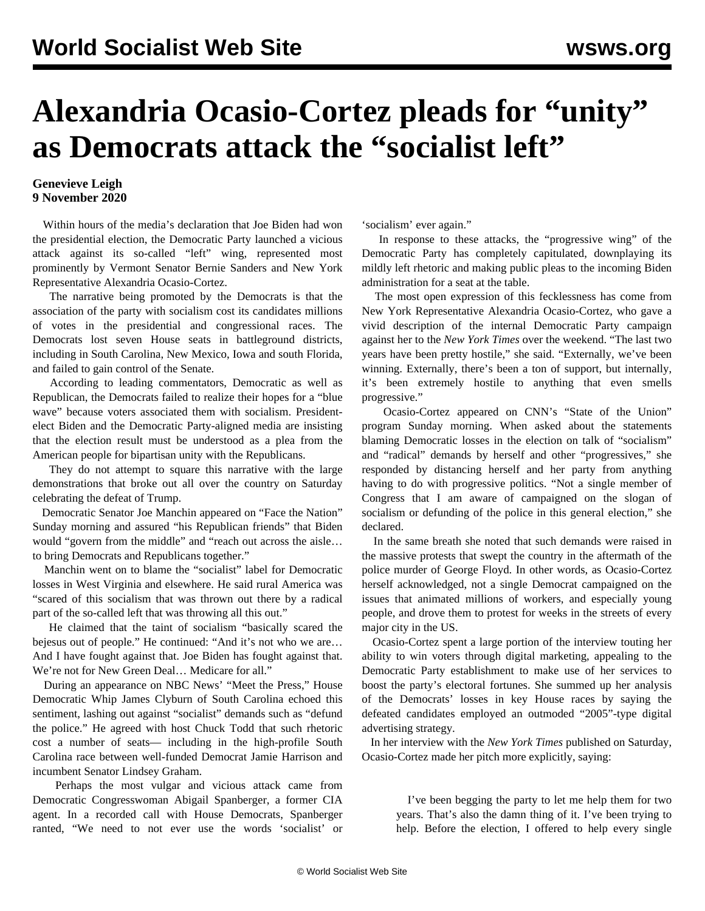## **Alexandria Ocasio-Cortez pleads for "unity" as Democrats attack the "socialist left"**

## **Genevieve Leigh 9 November 2020**

 Within hours of the media's declaration that Joe Biden had won the presidential election, the Democratic Party launched a vicious attack against its so-called "left" wing, represented most prominently by Vermont Senator Bernie Sanders and New York Representative Alexandria Ocasio-Cortez.

 The narrative being promoted by the Democrats is that the association of the party with socialism cost its candidates millions of votes in the presidential and congressional races. The Democrats lost seven House seats in battleground districts, including in South Carolina, New Mexico, Iowa and south Florida, and failed to gain control of the Senate.

 According to leading commentators, Democratic as well as Republican, the Democrats failed to realize their hopes for a "blue wave" because voters associated them with socialism. Presidentelect Biden and the Democratic Party-aligned media are insisting that the election result must be understood as a plea from the American people for bipartisan unity with the Republicans.

 They do not attempt to square this narrative with the large demonstrations that broke out all over the country on Saturday celebrating the defeat of Trump.

 Democratic Senator Joe Manchin appeared on "Face the Nation" Sunday morning and assured "his Republican friends" that Biden would "govern from the middle" and "reach out across the aisle… to bring Democrats and Republicans together."

 Manchin went on to blame the "socialist" label for Democratic losses in West Virginia and elsewhere. He said rural America was "scared of this socialism that was thrown out there by a radical part of the so-called left that was throwing all this out."

 He claimed that the taint of socialism "basically scared the bejesus out of people." He continued: "And it's not who we are… And I have fought against that. Joe Biden has fought against that. We're not for New Green Deal… Medicare for all."

 During an appearance on NBC News' "Meet the Press," House Democratic Whip James Clyburn of South Carolina echoed this sentiment, lashing out against "socialist" demands such as "defund the police." He agreed with host Chuck Todd that such rhetoric cost a number of seats— including in the high-profile South Carolina race between well-funded Democrat Jamie Harrison and incumbent Senator Lindsey Graham.

 Perhaps the most vulgar and vicious attack came from Democratic Congresswoman Abigail Spanberger, a former CIA agent. In a recorded call with House Democrats, Spanberger ranted, "We need to not ever use the words 'socialist' or 'socialism' ever again."

 In response to these attacks, the "progressive wing" of the Democratic Party has completely capitulated, downplaying its mildly left rhetoric and making public pleas to the incoming Biden administration for a seat at the table.

 The most open expression of this fecklessness has come from New York Representative Alexandria Ocasio-Cortez, who gave a vivid description of the internal Democratic Party campaign against her to the *New York Times* over the weekend. "The last two years have been pretty hostile," she said. "Externally, we've been winning. Externally, there's been a ton of support, but internally, it's been extremely hostile to anything that even smells progressive."

 Ocasio-Cortez appeared on CNN's "State of the Union" program Sunday morning. When asked about the statements blaming Democratic losses in the election on talk of "socialism" and "radical" demands by herself and other "progressives," she responded by distancing herself and her party from anything having to do with progressive politics. "Not a single member of Congress that I am aware of campaigned on the slogan of socialism or defunding of the police in this general election," she declared.

 In the same breath she noted that such demands were raised in the massive protests that swept the country in the aftermath of the police murder of George Floyd. In other words, as Ocasio-Cortez herself acknowledged, not a single Democrat campaigned on the issues that animated millions of workers, and especially young people, and drove them to protest for weeks in the streets of every major city in the US.

 Ocasio-Cortez spent a large portion of the interview touting her ability to win voters through digital marketing, appealing to the Democratic Party establishment to make use of her services to boost the party's electoral fortunes. She summed up her analysis of the Democrats' losses in key House races by saying the defeated candidates employed an outmoded "2005"-type digital advertising strategy.

 In her interview with the *New York Times* published on Saturday, Ocasio-Cortez made her pitch more explicitly, saying:

> I've been begging the party to let me help them for two years. That's also the damn thing of it. I've been trying to help. Before the election, I offered to help every single